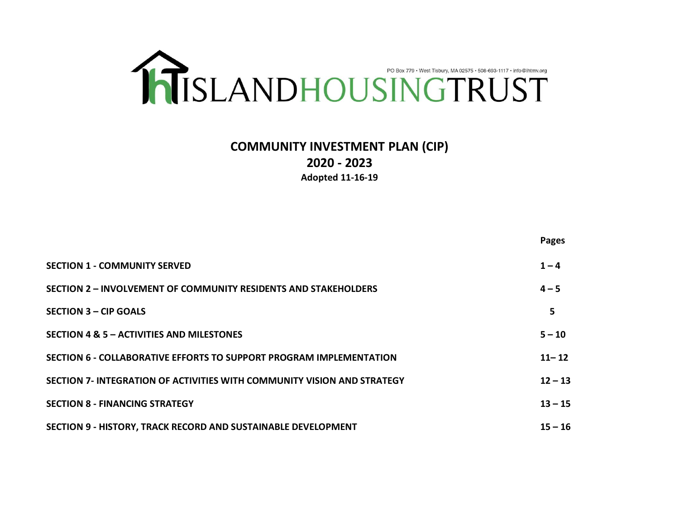

# **COMMUNITY INVESTMENT PLAN (CIP) 2020 - 2023 Adopted 11-16-19**

|                                                                         | <b>Pages</b> |
|-------------------------------------------------------------------------|--------------|
| <b>SECTION 1 - COMMUNITY SERVED</b>                                     | $1 - 4$      |
| <b>SECTION 2 - INVOLVEMENT OF COMMUNITY RESIDENTS AND STAKEHOLDERS</b>  | $4 - 5$      |
| <b>SECTION 3 - CIP GOALS</b>                                            | 5            |
| SECTION 4 & 5 - ACTIVITIES AND MILESTONES                               | $5 - 10$     |
| SECTION 6 - COLLABORATIVE EFFORTS TO SUPPORT PROGRAM IMPLEMENTATION     | $11 - 12$    |
| SECTION 7- INTEGRATION OF ACTIVITIES WITH COMMUNITY VISION AND STRATEGY | $12 - 13$    |
| <b>SECTION 8 - FINANCING STRATEGY</b>                                   | $13 - 15$    |
| <b>SECTION 9 - HISTORY, TRACK RECORD AND SUSTAINABLE DEVELOPMENT</b>    | $15 - 16$    |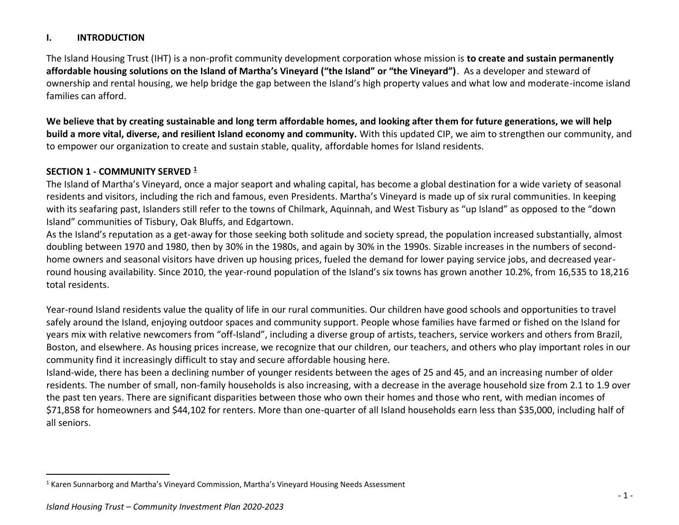## **I. INTRODUCTION**

The Island Housing Trust (IHT) is a non-profit community development corporation whose mission is **to create and sustain permanently affordable housing solutions on the Island of Martha's Vineyard ("the Island" or "the Vineyard")**. As a developer and steward of ownership and rental housing, we help bridge the gap between the Island's high property values and what low and moderate-income island families can afford.

**We believe that by creating sustainable and long term affordable homes, and looking after them for future generations, we will help build a more vital, diverse, and resilient Island economy and community.** With this updated CIP, we aim to strengthen our community, and to empower our organization to create and sustain stable, quality, affordable homes for Island residents.

## **SECTION 1 - COMMUNITY SERVED <sup>1</sup>**

The Island of Martha's Vineyard, once a major seaport and whaling capital, has become a global destination for a wide variety of seasonal residents and visitors, including the rich and famous, even Presidents. Martha's Vineyard is made up of six rural communities. In keeping with its seafaring past, Islanders still refer to the towns of Chilmark, Aquinnah, and West Tisbury as "up Island" as opposed to the "down Island" communities of Tisbury, Oak Bluffs, and Edgartown.

As the Island's reputation as a get-away for those seeking both solitude and society spread, the population increased substantially, almost doubling between 1970 and 1980, then by 30% in the 1980s, and again by 30% in the 1990s. Sizable increases in the numbers of secondhome owners and seasonal visitors have driven up housing prices, fueled the demand for lower paying service jobs, and decreased yearround housing availability. Since 2010, the year-round population of the Island's six towns has grown another 10.2%, from 16,535 to 18,216 total residents.

Year-round Island residents value the quality of life in our rural communities. Our children have good schools and opportunities to travel safely around the Island, enjoying outdoor spaces and community support. People whose families have farmed or fished on the Island for years mix with relative newcomers from "off-Island", including a diverse group of artists, teachers, service workers and others from Brazil, Boston, and elsewhere. As housing prices increase, we recognize that our children, our teachers, and others who play important roles in our community find it increasingly difficult to stay and secure affordable housing here.

Island-wide, there has been a declining number of younger residents between the ages of 25 and 45, and an increasing number of older residents. The number of small, non-family households is also increasing, with a decrease in the average household size from 2.1 to 1.9 over the past ten years. There are significant disparities between those who own their homes and those who rent, with median incomes of \$71,858 for homeowners and \$44,102 for renters. More than one-quarter of all Island households earn less than \$35,000, including half of all seniors.

<sup>1</sup> Karen Sunnarborg and Martha's Vineyard Commission, Martha's Vineyard Housing Needs Assessment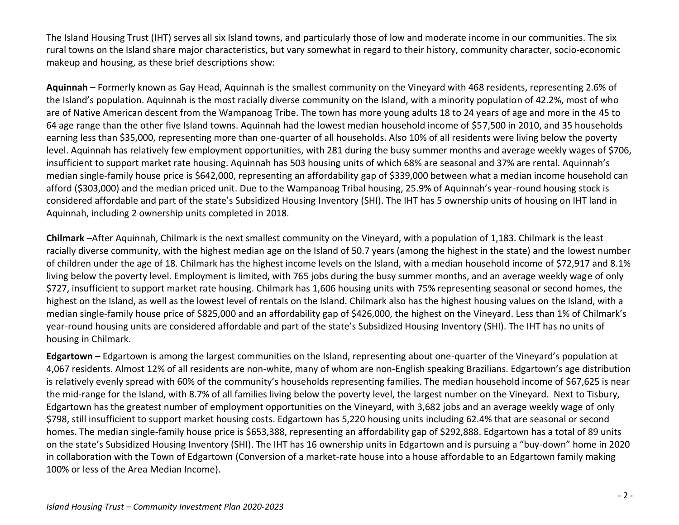The Island Housing Trust (IHT) serves all six Island towns, and particularly those of low and moderate income in our communities. The six rural towns on the Island share major characteristics, but vary somewhat in regard to their history, community character, socio-economic makeup and housing, as these brief descriptions show:

**Aquinnah** – Formerly known as Gay Head, Aquinnah is the smallest community on the Vineyard with 468 residents, representing 2.6% of the Island's population. Aquinnah is the most racially diverse community on the Island, with a minority population of 42.2%, most of who are of Native American descent from the Wampanoag Tribe. The town has more young adults 18 to 24 years of age and more in the 45 to 64 age range than the other five Island towns. Aquinnah had the lowest median household income of \$57,500 in 2010, and 35 households earning less than \$35,000, representing more than one-quarter of all households. Also 10% of all residents were living below the poverty level. Aquinnah has relatively few employment opportunities, with 281 during the busy summer months and average weekly wages of \$706, insufficient to support market rate housing. Aquinnah has 503 housing units of which 68% are seasonal and 37% are rental. Aquinnah's median single-family house price is \$642,000, representing an affordability gap of \$339,000 between what a median income household can afford (\$303,000) and the median priced unit. Due to the Wampanoag Tribal housing, 25.9% of Aquinnah's year-round housing stock is considered affordable and part of the state's Subsidized Housing Inventory (SHI). The IHT has 5 ownership units of housing on IHT land in Aquinnah, including 2 ownership units completed in 2018.

**Chilmark** –After Aquinnah, Chilmark is the next smallest community on the Vineyard, with a population of 1,183. Chilmark is the least racially diverse community, with the highest median age on the Island of 50.7 years (among the highest in the state) and the lowest number of children under the age of 18. Chilmark has the highest income levels on the Island, with a median household income of \$72,917 and 8.1% living below the poverty level. Employment is limited, with 765 jobs during the busy summer months, and an average weekly wage of only \$727, insufficient to support market rate housing. Chilmark has 1,606 housing units with 75% representing seasonal or second homes, the highest on the Island, as well as the lowest level of rentals on the Island. Chilmark also has the highest housing values on the Island, with a median single-family house price of \$825,000 and an affordability gap of \$426,000, the highest on the Vineyard. Less than 1% of Chilmark's year-round housing units are considered affordable and part of the state's Subsidized Housing Inventory (SHI). The IHT has no units of housing in Chilmark.

**Edgartown** – Edgartown is among the largest communities on the Island, representing about one-quarter of the Vineyard's population at 4,067 residents. Almost 12% of all residents are non-white, many of whom are non-English speaking Brazilians. Edgartown's age distribution is relatively evenly spread with 60% of the community's households representing families. The median household income of \$67,625 is near the mid-range for the Island, with 8.7% of all families living below the poverty level, the largest number on the Vineyard. Next to Tisbury, Edgartown has the greatest number of employment opportunities on the Vineyard, with 3,682 jobs and an average weekly wage of only \$798, still insufficient to support market housing costs. Edgartown has 5,220 housing units including 62.4% that are seasonal or second homes. The median single-family house price is \$653,388, representing an affordability gap of \$292,888. Edgartown has a total of 89 units on the state's Subsidized Housing Inventory (SHI). The IHT has 16 ownership units in Edgartown and is pursuing a "buy-down" home in 2020 in collaboration with the Town of Edgartown (Conversion of a market-rate house into a house affordable to an Edgartown family making 100% or less of the Area Median Income).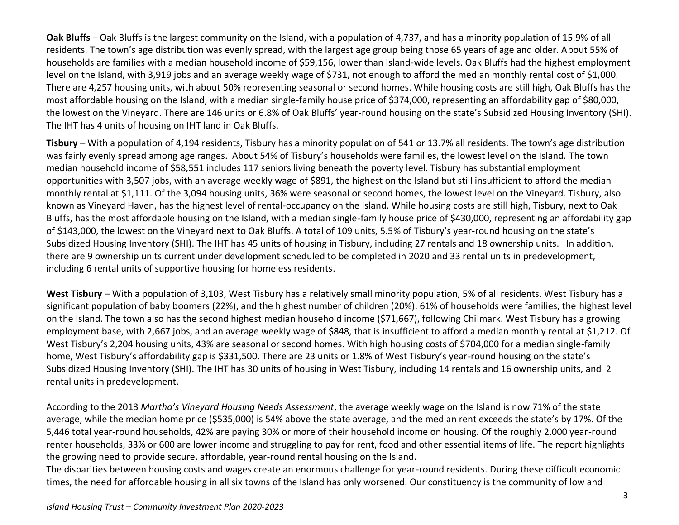**Oak Bluffs** – Oak Bluffs is the largest community on the Island, with a population of 4,737, and has a minority population of 15.9% of all residents. The town's age distribution was evenly spread, with the largest age group being those 65 years of age and older. About 55% of households are families with a median household income of \$59,156, lower than Island-wide levels. Oak Bluffs had the highest employment level on the Island, with 3,919 jobs and an average weekly wage of \$731, not enough to afford the median monthly rental cost of \$1,000. There are 4,257 housing units, with about 50% representing seasonal or second homes. While housing costs are still high, Oak Bluffs has the most affordable housing on the Island, with a median single-family house price of \$374,000, representing an affordability gap of \$80,000, the lowest on the Vineyard. There are 146 units or 6.8% of Oak Bluffs' year-round housing on the state's Subsidized Housing Inventory (SHI). The IHT has 4 units of housing on IHT land in Oak Bluffs.

**Tisbury** – With a population of 4,194 residents, Tisbury has a minority population of 541 or 13.7% all residents. The town's age distribution was fairly evenly spread among age ranges. About 54% of Tisbury's households were families, the lowest level on the Island. The town median household income of \$58,551 includes 117 seniors living beneath the poverty level. Tisbury has substantial employment opportunities with 3,507 jobs, with an average weekly wage of \$891, the highest on the Island but still insufficient to afford the median monthly rental at \$1,111. Of the 3,094 housing units, 36% were seasonal or second homes, the lowest level on the Vineyard. Tisbury, also known as Vineyard Haven, has the highest level of rental-occupancy on the Island. While housing costs are still high, Tisbury, next to Oak Bluffs, has the most affordable housing on the Island, with a median single-family house price of \$430,000, representing an affordability gap of \$143,000, the lowest on the Vineyard next to Oak Bluffs. A total of 109 units, 5.5% of Tisbury's year-round housing on the state's Subsidized Housing Inventory (SHI). The IHT has 45 units of housing in Tisbury, including 27 rentals and 18 ownership units. In addition, there are 9 ownership units current under development scheduled to be completed in 2020 and 33 rental units in predevelopment, including 6 rental units of supportive housing for homeless residents.

**West Tisbury** – With a population of 3,103, West Tisbury has a relatively small minority population, 5% of all residents. West Tisbury has a significant population of baby boomers (22%), and the highest number of children (20%). 61% of households were families, the highest level on the Island. The town also has the second highest median household income (\$71,667), following Chilmark. West Tisbury has a growing employment base, with 2,667 jobs, and an average weekly wage of \$848, that is insufficient to afford a median monthly rental at \$1,212. Of West Tisbury's 2,204 housing units, 43% are seasonal or second homes. With high housing costs of \$704,000 for a median single-family home, West Tisbury's affordability gap is \$331,500. There are 23 units or 1.8% of West Tisbury's year-round housing on the state's Subsidized Housing Inventory (SHI). The IHT has 30 units of housing in West Tisbury, including 14 rentals and 16 ownership units, and 2 rental units in predevelopment.

According to the 2013 *Martha's Vineyard Housing Needs Assessment*, the average weekly wage on the Island is now 71% of the state average, while the median home price (\$535,000) is 54% above the state average, and the median rent exceeds the state's by 17%. Of the 5,446 total year-round households, 42% are paying 30% or more of their household income on housing. Of the roughly 2,000 year-round renter households, 33% or 600 are lower income and struggling to pay for rent, food and other essential items of life. The report highlights the growing need to provide secure, affordable, year-round rental housing on the Island.

The disparities between housing costs and wages create an enormous challenge for year-round residents. During these difficult economic times, the need for affordable housing in all six towns of the Island has only worsened. Our constituency is the community of low and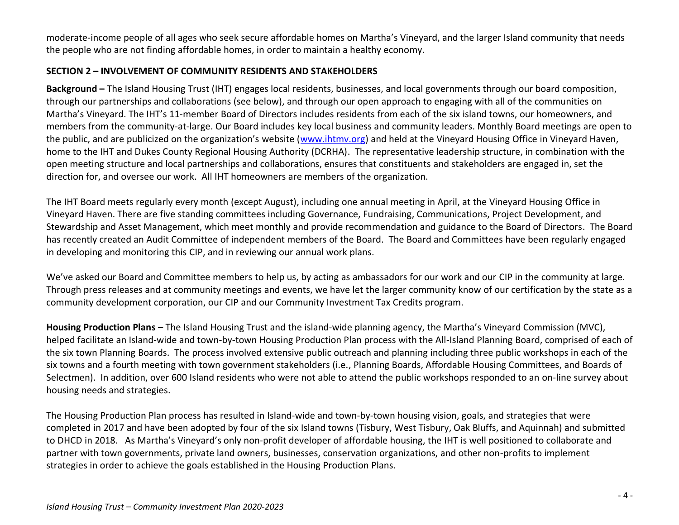moderate-income people of all ages who seek secure affordable homes on Martha's Vineyard, and the larger Island community that needs the people who are not finding affordable homes, in order to maintain a healthy economy.

### **SECTION 2 – INVOLVEMENT OF COMMUNITY RESIDENTS AND STAKEHOLDERS**

**Background –** The Island Housing Trust (IHT) engages local residents, businesses, and local governments through our board composition, through our partnerships and collaborations (see below), and through our open approach to engaging with all of the communities on Martha's Vineyard. The IHT's 11-member Board of Directors includes residents from each of the six island towns, our homeowners, and members from the community-at-large. Our Board includes key local business and community leaders. Monthly Board meetings are open to the public, and are publicized on the organization's website ([www.ihtmv.org\)](http://www.ihtmv.org/) and held at the Vineyard Housing Office in Vineyard Haven, home to the IHT and Dukes County Regional Housing Authority (DCRHA). The representative leadership structure, in combination with the open meeting structure and local partnerships and collaborations, ensures that constituents and stakeholders are engaged in, set the direction for, and oversee our work. All IHT homeowners are members of the organization.

The IHT Board meets regularly every month (except August), including one annual meeting in April, at the Vineyard Housing Office in Vineyard Haven. There are five standing committees including Governance, Fundraising, Communications, Project Development, and Stewardship and Asset Management, which meet monthly and provide recommendation and guidance to the Board of Directors. The Board has recently created an Audit Committee of independent members of the Board. The Board and Committees have been regularly engaged in developing and monitoring this CIP, and in reviewing our annual work plans.

We've asked our Board and Committee members to help us, by acting as ambassadors for our work and our CIP in the community at large. Through press releases and at community meetings and events, we have let the larger community know of our certification by the state as a community development corporation, our CIP and our Community Investment Tax Credits program.

**Housing Production Plans** – The Island Housing Trust and the island-wide planning agency, the Martha's Vineyard Commission (MVC), helped facilitate an Island-wide and town-by-town Housing Production Plan process with the All-Island Planning Board, comprised of each of the six town Planning Boards. The process involved extensive public outreach and planning including three public workshops in each of the six towns and a fourth meeting with town government stakeholders (i.e., Planning Boards, Affordable Housing Committees, and Boards of Selectmen). In addition, over 600 Island residents who were not able to attend the public workshops responded to an on-line survey about housing needs and strategies.

The Housing Production Plan process has resulted in Island-wide and town-by-town housing vision, goals, and strategies that were completed in 2017 and have been adopted by four of the six Island towns (Tisbury, West Tisbury, Oak Bluffs, and Aquinnah) and submitted to DHCD in 2018. As Martha's Vineyard's only non-profit developer of affordable housing, the IHT is well positioned to collaborate and partner with town governments, private land owners, businesses, conservation organizations, and other non-profits to implement strategies in order to achieve the goals established in the Housing Production Plans.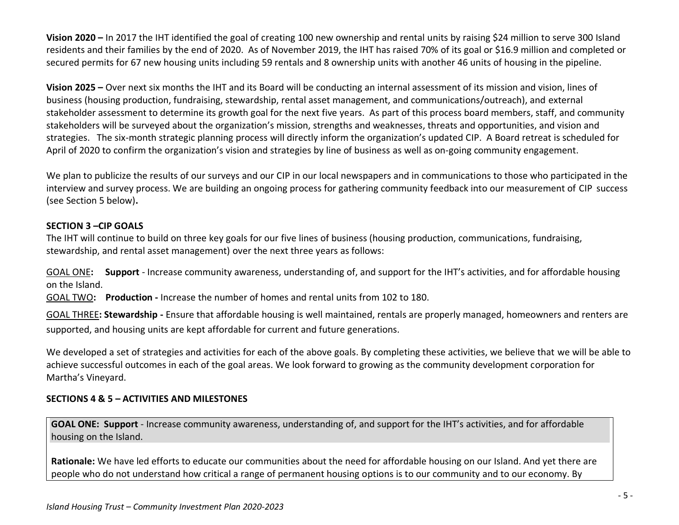**Vision 2020 –** In 2017 the IHT identified the goal of creating 100 new ownership and rental units by raising \$24 million to serve 300 Island residents and their families by the end of 2020. As of November 2019, the IHT has raised 70% of its goal or \$16.9 million and completed or secured permits for 67 new housing units including 59 rentals and 8 ownership units with another 46 units of housing in the pipeline.

**Vision 2025 –** Over next six months the IHT and its Board will be conducting an internal assessment of its mission and vision, lines of business (housing production, fundraising, stewardship, rental asset management, and communications/outreach), and external stakeholder assessment to determine its growth goal for the next five years. As part of this process board members, staff, and community stakeholders will be surveyed about the organization's mission, strengths and weaknesses, threats and opportunities, and vision and strategies. The six-month strategic planning process will directly inform the organization's updated CIP. A Board retreat is scheduled for April of 2020 to confirm the organization's vision and strategies by line of business as well as on-going community engagement.

We plan to publicize the results of our surveys and our CIP in our local newspapers and in communications to those who participated in the interview and survey process. We are building an ongoing process for gathering community feedback into our measurement of CIP success (see Section 5 below)**.**

## **SECTION 3 –CIP GOALS**

The IHT will continue to build on three key goals for our five lines of business (housing production, communications, fundraising, stewardship, and rental asset management) over the next three years as follows:

GOAL ONE**: Support** - Increase community awareness, understanding of, and support for the IHT's activities, and for affordable housing on the Island.

GOAL TWO**: Production -** Increase the number of homes and rental units from 102 to 180.

GOAL THREE**: Stewardship -** Ensure that affordable housing is well maintained, rentals are properly managed, homeowners and renters are supported, and housing units are kept affordable for current and future generations.

We developed a set of strategies and activities for each of the above goals. By completing these activities, we believe that we will be able to achieve successful outcomes in each of the goal areas. We look forward to growing as the community development corporation for Martha's Vineyard.

### **SECTIONS 4 & 5 – ACTIVITIES AND MILESTONES**

**GOAL ONE: Support** - Increase community awareness, understanding of, and support for the IHT's activities, and for affordable housing on the Island.

**Rationale:** We have led efforts to educate our communities about the need for affordable housing on our Island. And yet there are people who do not understand how critical a range of permanent housing options is to our community and to our economy. By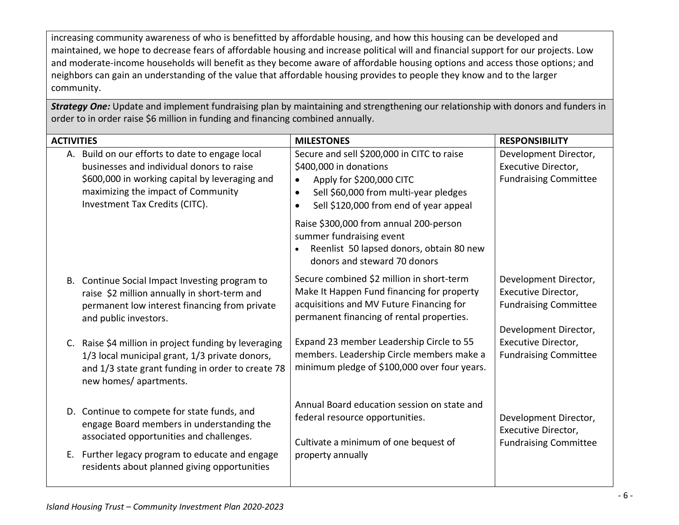increasing community awareness of who is benefitted by affordable housing, and how this housing can be developed and maintained, we hope to decrease fears of affordable housing and increase political will and financial support for our projects. Low and moderate-income households will benefit as they become aware of affordable housing options and access those options; and neighbors can gain an understanding of the value that affordable housing provides to people they know and to the larger community.

*Strategy One:* Update and implement fundraising plan by maintaining and strengthening our relationship with donors and funders in order to in order raise \$6 million in funding and financing combined annually.

| <b>ACTIVITIES</b> |                                                                                                                                                                                                                        | <b>MILESTONES</b>                                                                                                                                                                                                                                                                                                                     | <b>RESPONSIBILITY</b>                                                                                 |
|-------------------|------------------------------------------------------------------------------------------------------------------------------------------------------------------------------------------------------------------------|---------------------------------------------------------------------------------------------------------------------------------------------------------------------------------------------------------------------------------------------------------------------------------------------------------------------------------------|-------------------------------------------------------------------------------------------------------|
|                   | A. Build on our efforts to date to engage local<br>businesses and individual donors to raise<br>\$600,000 in working capital by leveraging and<br>maximizing the impact of Community<br>Investment Tax Credits (CITC). | Secure and sell \$200,000 in CITC to raise<br>\$400,000 in donations<br>Apply for \$200,000 CITC<br>Sell \$60,000 from multi-year pledges<br>Sell \$120,000 from end of year appeal<br>Raise \$300,000 from annual 200-person<br>summer fundraising event<br>Reenlist 50 lapsed donors, obtain 80 new<br>donors and steward 70 donors | Development Director,<br>Executive Director,<br><b>Fundraising Committee</b>                          |
|                   | B. Continue Social Impact Investing program to<br>raise \$2 million annually in short-term and<br>permanent low interest financing from private<br>and public investors.                                               | Secure combined \$2 million in short-term<br>Make It Happen Fund financing for property<br>acquisitions and MV Future Financing for<br>permanent financing of rental properties.                                                                                                                                                      | Development Director,<br>Executive Director,<br><b>Fundraising Committee</b><br>Development Director, |
|                   | C. Raise \$4 million in project funding by leveraging<br>1/3 local municipal grant, 1/3 private donors,<br>and 1/3 state grant funding in order to create 78<br>new homes/ apartments.                                 | Expand 23 member Leadership Circle to 55<br>members. Leadership Circle members make a<br>minimum pledge of \$100,000 over four years.                                                                                                                                                                                                 | Executive Director,<br><b>Fundraising Committee</b>                                                   |
|                   | D. Continue to compete for state funds, and<br>engage Board members in understanding the<br>associated opportunities and challenges.                                                                                   | Annual Board education session on state and<br>federal resource opportunities.<br>Cultivate a minimum of one bequest of                                                                                                                                                                                                               | Development Director,<br>Executive Director,<br><b>Fundraising Committee</b>                          |
|                   | E. Further legacy program to educate and engage<br>residents about planned giving opportunities                                                                                                                        | property annually                                                                                                                                                                                                                                                                                                                     |                                                                                                       |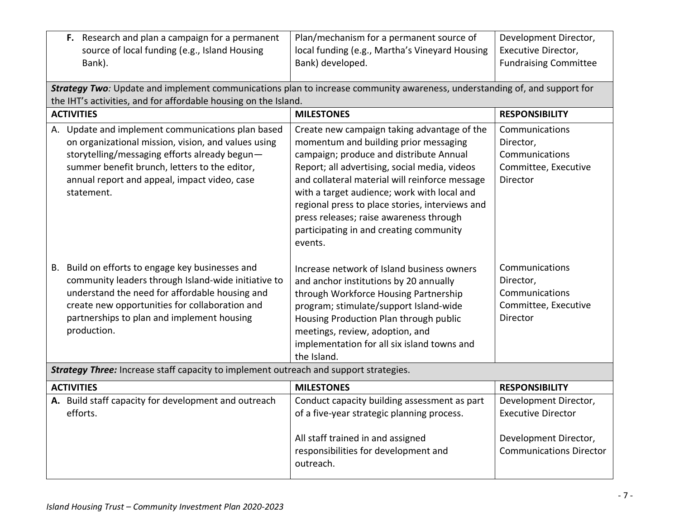| F. Research and plan a campaign for a permanent<br>source of local funding (e.g., Island Housing<br>Bank).                                                                                                                                                                  | Plan/mechanism for a permanent source of<br>local funding (e.g., Martha's Vineyard Housing<br>Bank) developed.                                                                                                                                                                                                                                                                                                                        | Development Director,<br>Executive Director,<br><b>Fundraising Committee</b>      |
|-----------------------------------------------------------------------------------------------------------------------------------------------------------------------------------------------------------------------------------------------------------------------------|---------------------------------------------------------------------------------------------------------------------------------------------------------------------------------------------------------------------------------------------------------------------------------------------------------------------------------------------------------------------------------------------------------------------------------------|-----------------------------------------------------------------------------------|
| Strategy Two: Update and implement communications plan to increase community awareness, understanding of, and support for<br>the IHT's activities, and for affordable housing on the Island.                                                                                |                                                                                                                                                                                                                                                                                                                                                                                                                                       |                                                                                   |
| <b>ACTIVITIES</b>                                                                                                                                                                                                                                                           | <b>MILESTONES</b>                                                                                                                                                                                                                                                                                                                                                                                                                     | <b>RESPONSIBILITY</b>                                                             |
| A. Update and implement communications plan based<br>on organizational mission, vision, and values using<br>storytelling/messaging efforts already begun-<br>summer benefit brunch, letters to the editor,<br>annual report and appeal, impact video, case<br>statement.    | Create new campaign taking advantage of the<br>momentum and building prior messaging<br>campaign; produce and distribute Annual<br>Report; all advertising, social media, videos<br>and collateral material will reinforce message<br>with a target audience; work with local and<br>regional press to place stories, interviews and<br>press releases; raise awareness through<br>participating in and creating community<br>events. | Communications<br>Director,<br>Communications<br>Committee, Executive<br>Director |
| Build on efforts to engage key businesses and<br>В.<br>community leaders through Island-wide initiative to<br>understand the need for affordable housing and<br>create new opportunities for collaboration and<br>partnerships to plan and implement housing<br>production. | Increase network of Island business owners<br>and anchor institutions by 20 annually<br>through Workforce Housing Partnership<br>program; stimulate/support Island-wide<br>Housing Production Plan through public<br>meetings, review, adoption, and<br>implementation for all six island towns and<br>the Island.                                                                                                                    | Communications<br>Director,<br>Communications<br>Committee, Executive<br>Director |
| Strategy Three: Increase staff capacity to implement outreach and support strategies.                                                                                                                                                                                       |                                                                                                                                                                                                                                                                                                                                                                                                                                       |                                                                                   |
| <b>ACTIVITIES</b>                                                                                                                                                                                                                                                           | <b>MILESTONES</b>                                                                                                                                                                                                                                                                                                                                                                                                                     | <b>RESPONSIBILITY</b>                                                             |
| A. Build staff capacity for development and outreach<br>efforts.                                                                                                                                                                                                            | Conduct capacity building assessment as part<br>of a five-year strategic planning process.<br>All staff trained in and assigned                                                                                                                                                                                                                                                                                                       | Development Director,<br><b>Executive Director</b><br>Development Director,       |
|                                                                                                                                                                                                                                                                             | responsibilities for development and<br>outreach.                                                                                                                                                                                                                                                                                                                                                                                     | <b>Communications Director</b>                                                    |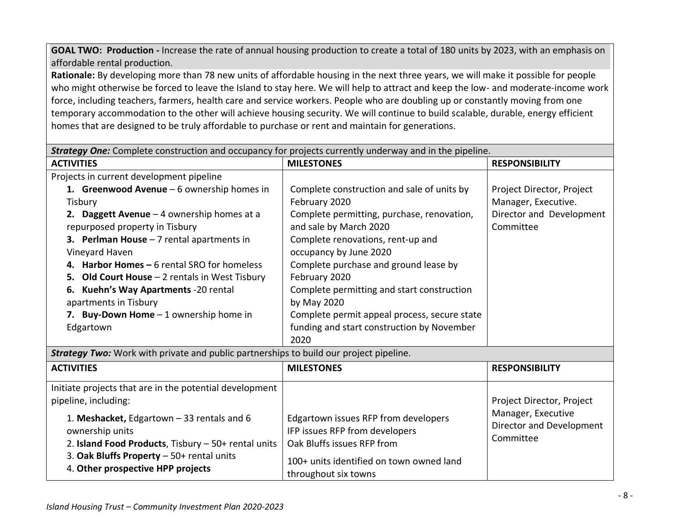**GOAL TWO: Production -** Increase the rate of annual housing production to create a total of 180 units by 2023, with an emphasis on affordable rental production.

**Rationale:** By developing more than 78 new units of affordable housing in the next three years, we will make it possible for people who might otherwise be forced to leave the Island to stay here. We will help to attract and keep the low- and moderate-income work force, including teachers, farmers, health care and service workers. People who are doubling up or constantly moving from one temporary accommodation to the other will achieve housing security. We will continue to build scalable, durable, energy efficient homes that are designed to be truly affordable to purchase or rent and maintain for generations.

| <b>Strategy One:</b> Complete construction and occupancy for projects currently underway and in the pipeline. |                                                                        |                           |  |
|---------------------------------------------------------------------------------------------------------------|------------------------------------------------------------------------|---------------------------|--|
| <b>ACTIVITIES</b>                                                                                             | <b>MILESTONES</b>                                                      | <b>RESPONSIBILITY</b>     |  |
| Projects in current development pipeline                                                                      |                                                                        |                           |  |
| 1. Greenwood Avenue $-6$ ownership homes in                                                                   | Complete construction and sale of units by                             | Project Director, Project |  |
| Tisbury                                                                                                       | February 2020                                                          | Manager, Executive.       |  |
| 2. Daggett Avenue $-4$ ownership homes at a                                                                   | Complete permitting, purchase, renovation,                             | Director and Development  |  |
| repurposed property in Tisbury                                                                                | and sale by March 2020                                                 | Committee                 |  |
| 3. Perlman House $-7$ rental apartments in                                                                    | Complete renovations, rent-up and                                      |                           |  |
| Vineyard Haven                                                                                                | occupancy by June 2020                                                 |                           |  |
| 4. Harbor Homes - 6 rental SRO for homeless                                                                   | Complete purchase and ground lease by                                  |                           |  |
| 5. Old Court House - 2 rentals in West Tisbury                                                                | February 2020                                                          |                           |  |
| Kuehn's Way Apartments -20 rental<br>6.                                                                       | Complete permitting and start construction                             |                           |  |
| apartments in Tisbury                                                                                         | by May 2020                                                            |                           |  |
| 7. Buy-Down Home $-1$ ownership home in                                                                       | Complete permit appeal process, secure state                           |                           |  |
| Edgartown                                                                                                     | funding and start construction by November                             |                           |  |
|                                                                                                               | 2020                                                                   |                           |  |
| Strategy Two: Work with private and public partnerships to build our project pipeline.                        |                                                                        |                           |  |
| <b>ACTIVITIES</b>                                                                                             | <b>MILESTONES</b>                                                      | <b>RESPONSIBILITY</b>     |  |
| Initiate projects that are in the potential development                                                       |                                                                        |                           |  |
| pipeline, including:                                                                                          |                                                                        | Project Director, Project |  |
|                                                                                                               |                                                                        | Manager, Executive        |  |
| 1. Meshacket, Edgartown - 33 rentals and 6                                                                    | Edgartown issues RFP from developers<br>IFP issues RFP from developers | Director and Development  |  |
| ownership units                                                                                               | Oak Bluffs issues RFP from                                             | Committee                 |  |
| 2. Island Food Products, Tisbury - 50+ rental units                                                           |                                                                        |                           |  |
| 3. Oak Bluffs Property - 50+ rental units                                                                     | 100+ units identified on town owned land                               |                           |  |
| 4. Other prospective HPP projects                                                                             | throughout six towns                                                   |                           |  |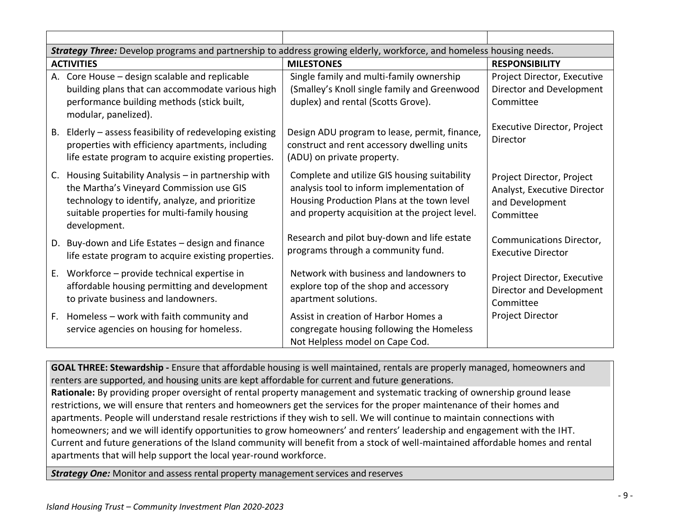|    | Strategy Three: Develop programs and partnership to address growing elderly, workforce, and homeless housing needs.                                                                                               |                                                                                                                                                                                           |                                                                                          |
|----|-------------------------------------------------------------------------------------------------------------------------------------------------------------------------------------------------------------------|-------------------------------------------------------------------------------------------------------------------------------------------------------------------------------------------|------------------------------------------------------------------------------------------|
|    | <b>ACTIVITIES</b>                                                                                                                                                                                                 | <b>MILESTONES</b>                                                                                                                                                                         | <b>RESPONSIBILITY</b>                                                                    |
| А. | Core House - design scalable and replicable<br>building plans that can accommodate various high<br>performance building methods (stick built,<br>modular, panelized).                                             | Single family and multi-family ownership<br>(Smalley's Knoll single family and Greenwood<br>duplex) and rental (Scotts Grove).                                                            | Project Director, Executive<br>Director and Development<br>Committee                     |
| В. | Elderly - assess feasibility of redeveloping existing<br>properties with efficiency apartments, including<br>life estate program to acquire existing properties.                                                  | Design ADU program to lease, permit, finance,<br>construct and rent accessory dwelling units<br>(ADU) on private property.                                                                | Executive Director, Project<br>Director                                                  |
| C. | Housing Suitability Analysis - in partnership with<br>the Martha's Vineyard Commission use GIS<br>technology to identify, analyze, and prioritize<br>suitable properties for multi-family housing<br>development. | Complete and utilize GIS housing suitability<br>analysis tool to inform implementation of<br>Housing Production Plans at the town level<br>and property acquisition at the project level. | Project Director, Project<br>Analyst, Executive Director<br>and Development<br>Committee |
|    | D. Buy-down and Life Estates - design and finance<br>life estate program to acquire existing properties.                                                                                                          | Research and pilot buy-down and life estate<br>programs through a community fund.                                                                                                         | Communications Director,<br><b>Executive Director</b>                                    |
| E. | Workforce - provide technical expertise in<br>affordable housing permitting and development<br>to private business and landowners.                                                                                | Network with business and landowners to<br>explore top of the shop and accessory<br>apartment solutions.                                                                                  | Project Director, Executive<br>Director and Development<br>Committee                     |
| F. | Homeless - work with faith community and<br>service agencies on housing for homeless.                                                                                                                             | Assist in creation of Harbor Homes a<br>congregate housing following the Homeless<br>Not Helpless model on Cape Cod.                                                                      | Project Director                                                                         |

**GOAL THREE: Stewardship -** Ensure that affordable housing is well maintained, rentals are properly managed, homeowners and renters are supported, and housing units are kept affordable for current and future generations. **Rationale:** By providing proper oversight of rental property management and systematic tracking of ownership ground lease restrictions, we will ensure that renters and homeowners get the services for the proper maintenance of their homes and apartments. People will understand resale restrictions if they wish to sell. We will continue to maintain connections with homeowners; and we will identify opportunities to grow homeowners' and renters' leadership and engagement with the IHT. Current and future generations of the Island community will benefit from a stock of well-maintained affordable homes and rental apartments that will help support the local year-round workforce.

**Strategy One:** Monitor and assess rental property management services and reserves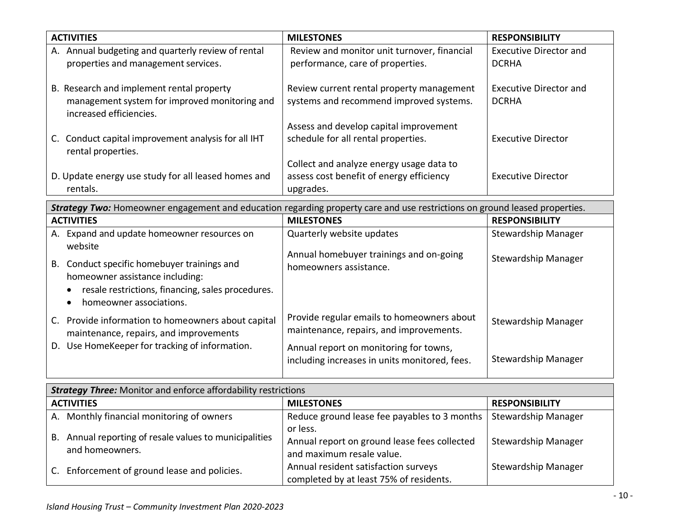| <b>ACTIVITIES</b>                                                                                                     | <b>MILESTONES</b>                                                                    | <b>RESPONSIBILITY</b>                         |
|-----------------------------------------------------------------------------------------------------------------------|--------------------------------------------------------------------------------------|-----------------------------------------------|
| A. Annual budgeting and quarterly review of rental<br>properties and management services.                             | Review and monitor unit turnover, financial<br>performance, care of properties.      | <b>Executive Director and</b><br><b>DCRHA</b> |
| B. Research and implement rental property<br>management system for improved monitoring and<br>increased efficiencies. | Review current rental property management<br>systems and recommend improved systems. | Executive Director and<br><b>DCRHA</b>        |
|                                                                                                                       | Assess and develop capital improvement                                               |                                               |
| C. Conduct capital improvement analysis for all IHT<br>rental properties.                                             | schedule for all rental properties.                                                  | <b>Executive Director</b>                     |
|                                                                                                                       | Collect and analyze energy usage data to                                             |                                               |
| D. Update energy use study for all leased homes and                                                                   | assess cost benefit of energy efficiency                                             | <b>Executive Director</b>                     |
| rentals.                                                                                                              | upgrades.                                                                            |                                               |

| Strategy Two: Homeowner engagement and education regarding property care and use restrictions on ground leased properties.                                        |                                                                                         |                            |
|-------------------------------------------------------------------------------------------------------------------------------------------------------------------|-----------------------------------------------------------------------------------------|----------------------------|
| <b>ACTIVITIES</b>                                                                                                                                                 | <b>MILESTONES</b>                                                                       | <b>RESPONSIBILITY</b>      |
| Expand and update homeowner resources on<br>А.<br>website                                                                                                         | Quarterly website updates<br>Annual homebuyer trainings and on-going                    | Stewardship Manager        |
| Conduct specific homebuyer trainings and<br>В.<br>homeowner assistance including:<br>resale restrictions, financing, sales procedures.<br>homeowner associations. | homeowners assistance.                                                                  | Stewardship Manager        |
| Provide information to homeowners about capital<br>maintenance, repairs, and improvements                                                                         | Provide regular emails to homeowners about<br>maintenance, repairs, and improvements.   | <b>Stewardship Manager</b> |
| Use HomeKeeper for tracking of information.<br>D.                                                                                                                 | Annual report on monitoring for towns,<br>including increases in units monitored, fees. | <b>Stewardship Manager</b> |

| <b>Strategy Three:</b> Monitor and enforce affordability restrictions |                                                                        |                                                                                       |                            |
|-----------------------------------------------------------------------|------------------------------------------------------------------------|---------------------------------------------------------------------------------------|----------------------------|
|                                                                       | <b>ACTIVITIES</b>                                                      | <b>MILESTONES</b>                                                                     | <b>RESPONSIBILITY</b>      |
|                                                                       | A. Monthly financial monitoring of owners                              | Reduce ground lease fee payables to 3 months                                          | <b>Stewardship Manager</b> |
| В.                                                                    | Annual reporting of resale values to municipalities<br>and homeowners. | or less.<br>Annual report on ground lease fees collected<br>and maximum resale value. | Stewardship Manager        |
| C.                                                                    | Enforcement of ground lease and policies.                              | Annual resident satisfaction surveys<br>completed by at least 75% of residents.       | Stewardship Manager        |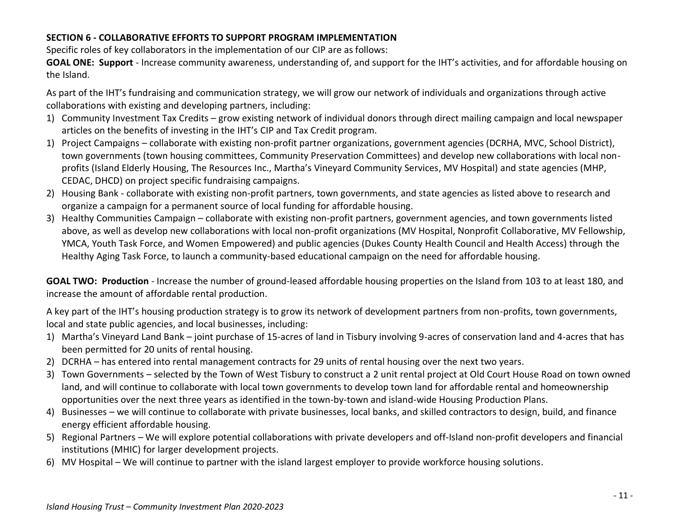# **SECTION 6 - COLLABORATIVE EFFORTS TO SUPPORT PROGRAM IMPLEMENTATION**

Specific roles of key collaborators in the implementation of our CIP are as follows:

**GOAL ONE: Support** - Increase community awareness, understanding of, and support for the IHT's activities, and for affordable housing on the Island.

As part of the IHT's fundraising and communication strategy, we will grow our network of individuals and organizations through active collaborations with existing and developing partners, including:

- 1) Community Investment Tax Credits grow existing network of individual donors through direct mailing campaign and local newspaper articles on the benefits of investing in the IHT's CIP and Tax Credit program.
- 1) Project Campaigns collaborate with existing non-profit partner organizations, government agencies (DCRHA, MVC, School District), town governments (town housing committees, Community Preservation Committees) and develop new collaborations with local nonprofits (Island Elderly Housing, The Resources Inc., Martha's Vineyard Community Services, MV Hospital) and state agencies (MHP, CEDAC, DHCD) on project specific fundraising campaigns.
- 2) Housing Bank collaborate with existing non-profit partners, town governments, and state agencies as listed above to research and organize a campaign for a permanent source of local funding for affordable housing.
- 3) Healthy Communities Campaign collaborate with existing non-profit partners, government agencies, and town governments listed above, as well as develop new collaborations with local non-profit organizations (MV Hospital, Nonprofit Collaborative, MV Fellowship, YMCA, Youth Task Force, and Women Empowered) and public agencies (Dukes County Health Council and Health Access) through the Healthy Aging Task Force, to launch a community-based educational campaign on the need for affordable housing.

GOAL TWO: Production - Increase the number of ground-leased affordable housing properties on the Island from 103 to at least 180, and increase the amount of affordable rental production.

A key part of the IHT's housing production strategy is to grow its network of development partners from non-profits, town governments, local and state public agencies, and local businesses, including:

- 1) Martha's Vineyard Land Bank joint purchase of 15-acres of land in Tisbury involving 9-acres of conservation land and 4-acres that has been permitted for 20 units of rental housing.
- 2) DCRHA has entered into rental management contracts for 29 units of rental housing over the next two years.
- 3) Town Governments selected by the Town of West Tisbury to construct a 2 unit rental project at Old Court House Road on town owned land, and will continue to collaborate with local town governments to develop town land for affordable rental and homeownership opportunities over the next three years as identified in the town-by-town and island-wide Housing Production Plans.
- 4) Businesses we will continue to collaborate with private businesses, local banks, and skilled contractors to design, build, and finance energy efficient affordable housing.
- 5) Regional Partners We will explore potential collaborations with private developers and off-Island non-profit developers and financial institutions (MHIC) for larger development projects.
- 6) MV Hospital We will continue to partner with the island largest employer to provide workforce housing solutions.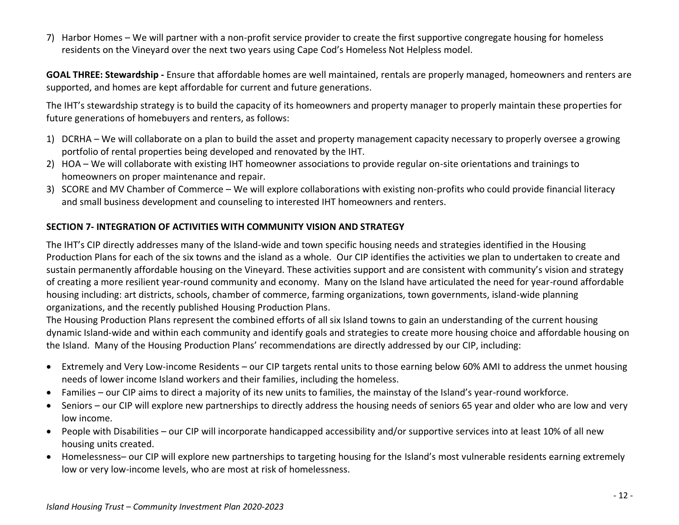7) Harbor Homes – We will partner with a non-profit service provider to create the first supportive congregate housing for homeless residents on the Vineyard over the next two years using Cape Cod's Homeless Not Helpless model.

**GOAL THREE: Stewardship -** Ensure that affordable homes are well maintained, rentals are properly managed, homeowners and renters are supported, and homes are kept affordable for current and future generations.

The IHT's stewardship strategy is to build the capacity of its homeowners and property manager to properly maintain these properties for future generations of homebuyers and renters, as follows:

- 1) DCRHA We will collaborate on a plan to build the asset and property management capacity necessary to properly oversee a growing portfolio of rental properties being developed and renovated by the IHT.
- 2) HOA We will collaborate with existing IHT homeowner associations to provide regular on-site orientations and trainings to homeowners on proper maintenance and repair.
- 3) SCORE and MV Chamber of Commerce We will explore collaborations with existing non-profits who could provide financial literacy and small business development and counseling to interested IHT homeowners and renters.

## **SECTION 7- INTEGRATION OF ACTIVITIES WITH COMMUNITY VISION AND STRATEGY**

The IHT's CIP directly addresses many of the Island-wide and town specific housing needs and strategies identified in the Housing Production Plans for each of the six towns and the island as a whole. Our CIP identifies the activities we plan to undertaken to create and sustain permanently affordable housing on the Vineyard. These activities support and are consistent with community's vision and strategy of creating a more resilient year-round community and economy. Many on the Island have articulated the need for year-round affordable housing including: art districts, schools, chamber of commerce, farming organizations, town governments, island-wide planning organizations, and the recently published Housing Production Plans.

The Housing Production Plans represent the combined efforts of all six Island towns to gain an understanding of the current housing dynamic Island-wide and within each community and identify goals and strategies to create more housing choice and affordable housing on the Island. Many of the Housing Production Plans' recommendations are directly addressed by our CIP, including:

- Extremely and Very Low-income Residents our CIP targets rental units to those earning below 60% AMI to address the unmet housing needs of lower income Island workers and their families, including the homeless.
- Families our CIP aims to direct a majority of its new units to families, the mainstay of the Island's year-round workforce.
- Seniors our CIP will explore new partnerships to directly address the housing needs of seniors 65 year and older who are low and very low income.
- People with Disabilities our CIP will incorporate handicapped accessibility and/or supportive services into at least 10% of all new housing units created.
- Homelessness– our CIP will explore new partnerships to targeting housing for the Island's most vulnerable residents earning extremely low or very low-income levels, who are most at risk of homelessness.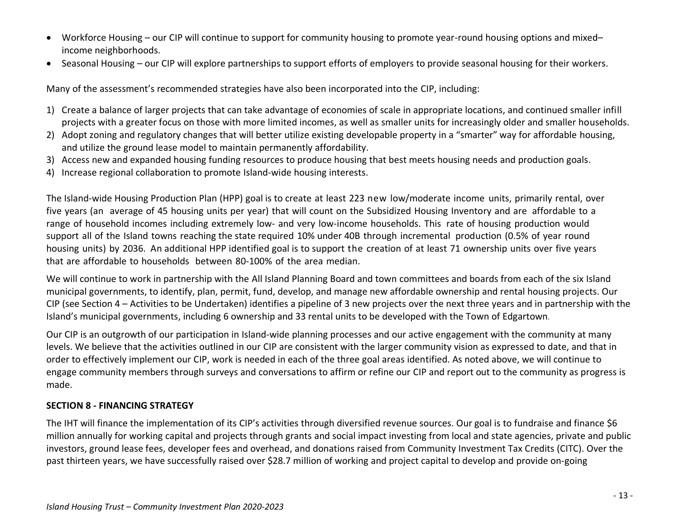- Workforce Housing our CIP will continue to support for community housing to promote year-round housing options and mixed– income neighborhoods.
- Seasonal Housing our CIP will explore partnerships to support efforts of employers to provide seasonal housing for their workers.

Many of the assessment's recommended strategies have also been incorporated into the CIP, including:

- 1) Create a balance of larger projects that can take advantage of economies of scale in appropriate locations, and continued smaller infill projects with a greater focus on those with more limited incomes, as well as smaller units for increasingly older and smaller households.
- 2) Adopt zoning and regulatory changes that will better utilize existing developable property in a "smarter" way for affordable housing, and utilize the ground lease model to maintain permanently affordability.
- 3) Access new and expanded housing funding resources to produce housing that best meets housing needs and production goals.
- 4) Increase regional collaboration to promote Island-wide housing interests.

The Island-wide Housing Production Plan (HPP) goal is to create at least 223 new low/moderate income units, primarily rental, over five years (an average of 45 housing units per year) that will count on the Subsidized Housing Inventory and are affordable to a range of household incomes including extremely low- and very low-income households. This rate of housing production would support all of the Island towns reaching the state required 10% under 40B through incremental production (0.5% of year round housing units) by 2036. An additional HPP identified goal is to support the creation of at least 71 ownership units over five years that are affordable to households between 80-100% of the area median.

We will continue to work in partnership with the All Island Planning Board and town committees and boards from each of the six Island municipal governments, to identify, plan, permit, fund, develop, and manage new affordable ownership and rental housing projects. Our CIP (see Section 4 – Activities to be Undertaken) identifies a pipeline of 3 new projects over the next three years and in partnership with the Island's municipal governments, including 6 ownership and 33 rental units to be developed with the Town of Edgartown.

Our CIP is an outgrowth of our participation in Island-wide planning processes and our active engagement with the community at many levels. We believe that the activities outlined in our CIP are consistent with the larger community vision as expressed to date, and that in order to effectively implement our CIP, work is needed in each of the three goal areas identified. As noted above, we will continue to engage community members through surveys and conversations to affirm or refine our CIP and report out to the community as progress is made.

# **SECTION 8 - FINANCING STRATEGY**

The IHT will finance the implementation of its CIP's activities through diversified revenue sources. Our goal is to fundraise and finance \$6 million annually for working capital and projects through grants and social impact investing from local and state agencies, private and public investors, ground lease fees, developer fees and overhead, and donations raised from Community Investment Tax Credits (CITC). Over the past thirteen years, we have successfully raised over \$28.7 million of working and project capital to develop and provide on-going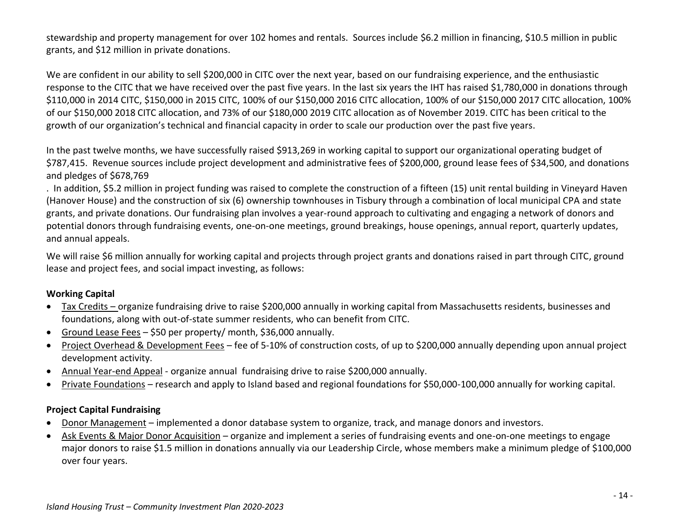stewardship and property management for over 102 homes and rentals. Sources include \$6.2 million in financing, \$10.5 million in public grants, and \$12 million in private donations.

We are confident in our ability to sell \$200,000 in CITC over the next year, based on our fundraising experience, and the enthusiastic response to the CITC that we have received over the past five years. In the last six years the IHT has raised \$1,780,000 in donations through \$110,000 in 2014 CITC, \$150,000 in 2015 CITC, 100% of our \$150,000 2016 CITC allocation, 100% of our \$150,000 2017 CITC allocation, 100% of our \$150,000 2018 CITC allocation, and 73% of our \$180,000 2019 CITC allocation as of November 2019. CITC has been critical to the growth of our organization's technical and financial capacity in order to scale our production over the past five years.

In the past twelve months, we have successfully raised \$913,269 in working capital to support our organizational operating budget of \$787,415. Revenue sources include project development and administrative fees of \$200,000, ground lease fees of \$34,500, and donations and pledges of \$678,769

. In addition, \$5.2 million in project funding was raised to complete the construction of a fifteen (15) unit rental building in Vineyard Haven (Hanover House) and the construction of six (6) ownership townhouses in Tisbury through a combination of local municipal CPA and state grants, and private donations. Our fundraising plan involves a year-round approach to cultivating and engaging a network of donors and potential donors through fundraising events, one-on-one meetings, ground breakings, house openings, annual report, quarterly updates, and annual appeals.

We will raise \$6 million annually for working capital and projects through project grants and donations raised in part through CITC, ground lease and project fees, and social impact investing, as follows:

### **Working Capital**

- Tax Credits organize fundraising drive to raise \$200,000 annually in working capital from Massachusetts residents, businesses and foundations, along with out-of-state summer residents, who can benefit from CITC.
- Ground Lease Fees \$50 per property/ month, \$36,000 annually.
- Project Overhead & Development Fees fee of 5-10% of construction costs, of up to \$200,000 annually depending upon annual project development activity.
- Annual Year-end Appeal organize annual fundraising drive to raise \$200,000 annually.
- Private Foundations research and apply to Island based and regional foundations for \$50,000-100,000 annually for working capital.

# **Project Capital Fundraising**

- Donor Management implemented a donor database system to organize, track, and manage donors and investors.
- Ask Events & Major Donor Acquisition organize and implement a series of fundraising events and one-on-one meetings to engage major donors to raise \$1.5 million in donations annually via our Leadership Circle, whose members make a minimum pledge of \$100,000 over four years.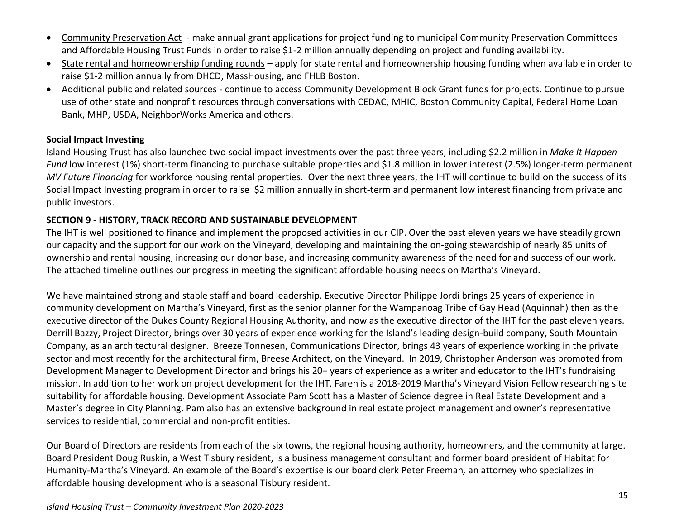- Community Preservation Act make annual grant applications for project funding to municipal Community Preservation Committees and Affordable Housing Trust Funds in order to raise \$1-2 million annually depending on project and funding availability.
- State rental and homeownership funding rounds apply for state rental and homeownership housing funding when available in order to raise \$1-2 million annually from DHCD, MassHousing, and FHLB Boston.
- Additional public and related sources continue to access Community Development Block Grant funds for projects. Continue to pursue use of other state and nonprofit resources through conversations with CEDAC, MHIC, Boston Community Capital, Federal Home Loan Bank, MHP, USDA, NeighborWorks America and others.

#### **Social Impact Investing**

Island Housing Trust has also launched two social impact investments over the past three years, including \$2.2 million in *Make It Happen Fund* low interest (1%) short-term financing to purchase suitable properties and \$1.8 million in lower interest (2.5%) longer-term permanent *MV Future Financing* for workforce housing rental properties. Over the next three years, the IHT will continue to build on the success of its Social Impact Investing program in order to raise \$2 million annually in short-term and permanent low interest financing from private and public investors.

### **SECTION 9 - HISTORY, TRACK RECORD AND SUSTAINABLE DEVELOPMENT**

The IHT is well positioned to finance and implement the proposed activities in our CIP. Over the past eleven years we have steadily grown our capacity and the support for our work on the Vineyard, developing and maintaining the on-going stewardship of nearly 85 units of ownership and rental housing, increasing our donor base, and increasing community awareness of the need for and success of our work. The attached timeline outlines our progress in meeting the significant affordable housing needs on Martha's Vineyard.

We have maintained strong and stable staff and board leadership. Executive Director Philippe Jordi brings 25 years of experience in community development on Martha's Vineyard, first as the senior planner for the Wampanoag Tribe of Gay Head (Aquinnah) then as the executive director of the Dukes County Regional Housing Authority, and now as the executive director of the IHT for the past eleven years. Derrill Bazzy, Project Director, brings over 30 years of experience working for the Island's leading design-build company, South Mountain Company, as an architectural designer. Breeze Tonnesen, Communications Director, brings 43 years of experience working in the private sector and most recently for the architectural firm, Breese Architect, on the Vineyard. In 2019, Christopher Anderson was promoted from Development Manager to Development Director and brings his 20+ years of experience as a writer and educator to the IHT's fundraising mission. In addition to her work on project development for the IHT, Faren is a 2018-2019 Martha's Vineyard Vision Fellow researching site suitability for affordable housing. Development Associate Pam Scott has a Master of Science degree in Real Estate Development and a Master's degree in City Planning. Pam also has an extensive background in real estate project management and owner's representative services to residential, commercial and non-profit entities.

Our Board of Directors are residents from each of the six towns, the regional housing authority, homeowners, and the community at large. Board President Doug Ruskin, a West Tisbury resident, is a business management consultant and former board president of Habitat for Humanity-Martha's Vineyard. An example of the Board's expertise is our board clerk Peter Freeman*,* an attorney who specializes in affordable housing development who is a seasonal Tisbury resident.